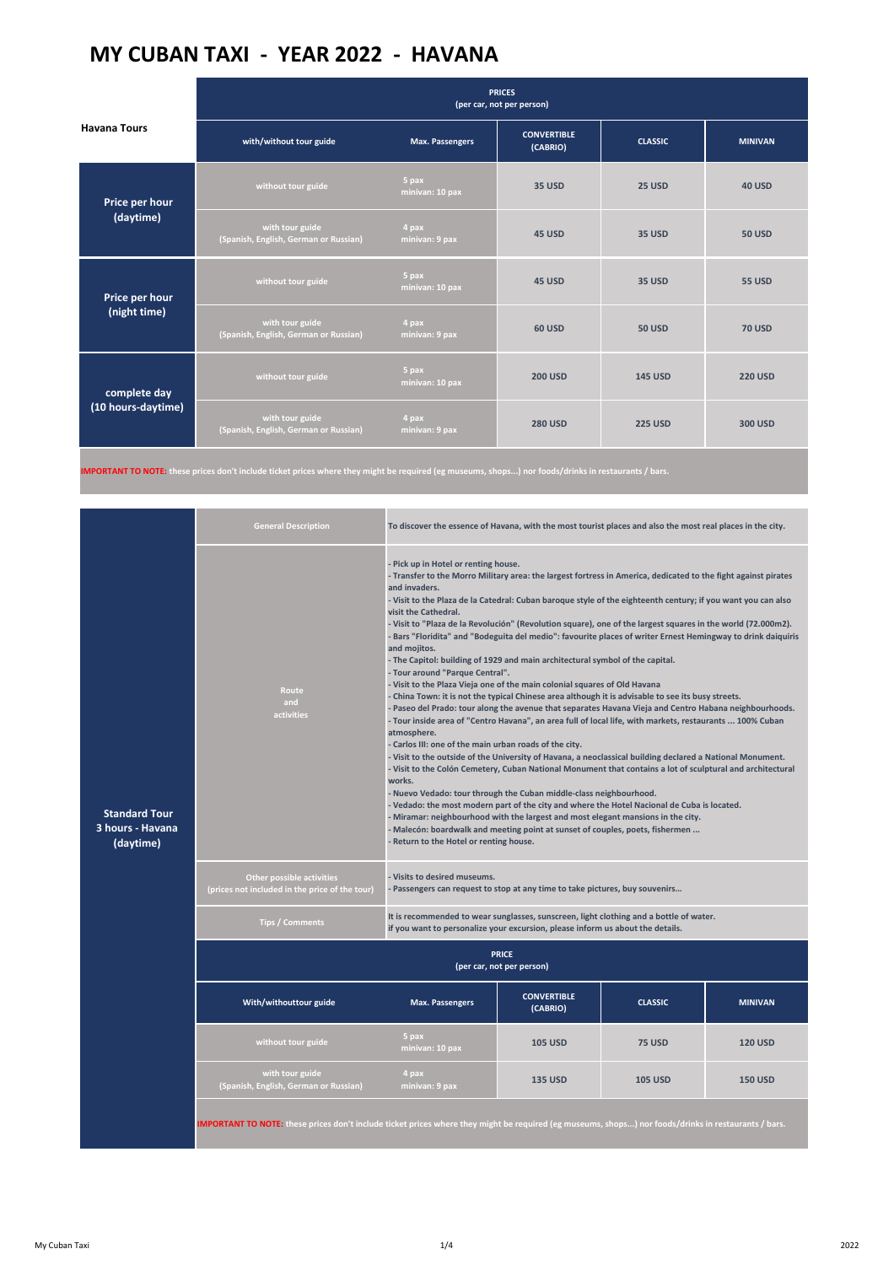|                                    | <b>PRICES</b><br>(per car, not per person)               |                          |                                |                |                |
|------------------------------------|----------------------------------------------------------|--------------------------|--------------------------------|----------------|----------------|
| <b>Havana Tours</b>                | with/without tour guide                                  | <b>Max. Passengers</b>   | <b>CONVERTIBLE</b><br>(CABRIO) | <b>CLASSIC</b> | <b>MINIVAN</b> |
| Price per hour<br>(daytime)        | without tour guide                                       | 5 pax<br>minivan: 10 pax | <b>35 USD</b>                  | <b>25 USD</b>  | <b>40 USD</b>  |
|                                    | with tour guide<br>(Spanish, English, German or Russian) | 4 pax<br>minivan: 9 pax  | 45 USD                         | <b>35 USD</b>  | <b>50 USD</b>  |
| Price per hour<br>(night time)     | without tour guide                                       | 5 pax<br>minivan: 10 pax | 45 USD                         | <b>35 USD</b>  | <b>55 USD</b>  |
|                                    | with tour guide<br>(Spanish, English, German or Russian) | 4 pax<br>minivan: 9 pax  | <b>60 USD</b>                  | <b>50 USD</b>  | <b>70 USD</b>  |
| complete day<br>(10 hours-daytime) | without tour guide                                       | 5 pax<br>minivan: 10 pax | <b>200 USD</b>                 | <b>145 USD</b> | <b>220 USD</b> |
|                                    | with tour guide<br>(Spanish, English, German or Russian) | 4 pax<br>minivan: 9 pax  | <b>280 USD</b>                 | <b>225 USD</b> | 300 USD        |

**IMPORTANT TO NOTE: these prices don't include ticket prices where they might be required (eg museums, shops...) nor foods/drinks in restaurants / bars.**

|                                                       | To discover the essence of Havana, with the most tourist places and also the most real places in the city.<br><b>General Description</b>             |                                                                                                                                                                                                                                                                                                                                                                                                                                                                                                                                                                                                                                                                                                                                                                                                                                                                                                                                                                                                                                                                                                                                                                                                                                                                                                                                                                                                                                                                                                                                                                                                                                                                                                                                                                                                 |                                |                |                |  |
|-------------------------------------------------------|------------------------------------------------------------------------------------------------------------------------------------------------------|-------------------------------------------------------------------------------------------------------------------------------------------------------------------------------------------------------------------------------------------------------------------------------------------------------------------------------------------------------------------------------------------------------------------------------------------------------------------------------------------------------------------------------------------------------------------------------------------------------------------------------------------------------------------------------------------------------------------------------------------------------------------------------------------------------------------------------------------------------------------------------------------------------------------------------------------------------------------------------------------------------------------------------------------------------------------------------------------------------------------------------------------------------------------------------------------------------------------------------------------------------------------------------------------------------------------------------------------------------------------------------------------------------------------------------------------------------------------------------------------------------------------------------------------------------------------------------------------------------------------------------------------------------------------------------------------------------------------------------------------------------------------------------------------------|--------------------------------|----------------|----------------|--|
| <b>Standard Tour</b><br>3 hours - Havana<br>(daytime) | Route<br>and<br>activities                                                                                                                           | - Pick up in Hotel or renting house.<br>- Transfer to the Morro Military area: the largest fortress in America, dedicated to the fight against pirates<br>and invaders.<br>- Visit to the Plaza de la Catedral: Cuban baroque style of the eighteenth century; if you want you can also<br>visit the Cathedral.<br>- Visit to "Plaza de la Revolución" (Revolution square), one of the largest squares in the world (72.000m2).<br>- Bars "Floridita" and "Bodeguita del medio": favourite places of writer Ernest Hemingway to drink daiquiris<br>and mojitos.<br>- The Capitol: building of 1929 and main architectural symbol of the capital.<br>- Tour around "Parque Central".<br>- Visit to the Plaza Vieja one of the main colonial squares of Old Havana<br>- China Town: it is not the typical Chinese area although it is advisable to see its busy streets.<br>- Paseo del Prado: tour along the avenue that separates Havana Vieja and Centro Habana neighbourhoods.<br>- Tour inside area of "Centro Havana", an area full of local life, with markets, restaurants  100% Cuban<br>atmosphere.<br>- Carlos III: one of the main urban roads of the city.<br>- Visit to the outside of the University of Havana, a neoclassical building declared a National Monument.<br>- Visit to the Colón Cemetery, Cuban National Monument that contains a lot of sculptural and architectural<br>works.<br>- Nuevo Vedado: tour through the Cuban middle-class neighbourhood.<br>- Vedado: the most modern part of the city and where the Hotel Nacional de Cuba is located.<br>- Miramar: neighbourhood with the largest and most elegant mansions in the city.<br>- Malecón: boardwalk and meeting point at sunset of couples, poets, fishermen<br>- Return to the Hotel or renting house. |                                |                |                |  |
|                                                       | <b>Other possible activities</b><br>(prices not included in the price of the tour)                                                                   | - Visits to desired museums.<br>- Passengers can request to stop at any time to take pictures, buy souvenirs                                                                                                                                                                                                                                                                                                                                                                                                                                                                                                                                                                                                                                                                                                                                                                                                                                                                                                                                                                                                                                                                                                                                                                                                                                                                                                                                                                                                                                                                                                                                                                                                                                                                                    |                                |                |                |  |
|                                                       | Tips / Comments                                                                                                                                      | It is recommended to wear sunglasses, sunscreen, light clothing and a bottle of water.<br>if you want to personalize your excursion, please inform us about the details.                                                                                                                                                                                                                                                                                                                                                                                                                                                                                                                                                                                                                                                                                                                                                                                                                                                                                                                                                                                                                                                                                                                                                                                                                                                                                                                                                                                                                                                                                                                                                                                                                        |                                |                |                |  |
|                                                       | <b>PRICE</b><br>(per car, not per person)                                                                                                            |                                                                                                                                                                                                                                                                                                                                                                                                                                                                                                                                                                                                                                                                                                                                                                                                                                                                                                                                                                                                                                                                                                                                                                                                                                                                                                                                                                                                                                                                                                                                                                                                                                                                                                                                                                                                 |                                |                |                |  |
|                                                       | With/withouttour guide                                                                                                                               | <b>Max. Passengers</b>                                                                                                                                                                                                                                                                                                                                                                                                                                                                                                                                                                                                                                                                                                                                                                                                                                                                                                                                                                                                                                                                                                                                                                                                                                                                                                                                                                                                                                                                                                                                                                                                                                                                                                                                                                          | <b>CONVERTIBLE</b><br>(CABRIO) | <b>CLASSIC</b> | <b>MINIVAN</b> |  |
|                                                       | without tour guide                                                                                                                                   | 5 pax<br>minivan: 10 pax                                                                                                                                                                                                                                                                                                                                                                                                                                                                                                                                                                                                                                                                                                                                                                                                                                                                                                                                                                                                                                                                                                                                                                                                                                                                                                                                                                                                                                                                                                                                                                                                                                                                                                                                                                        | <b>105 USD</b>                 | <b>75 USD</b>  | <b>120 USD</b> |  |
|                                                       | with tour guide<br>(Spanish, English, German or Russian)                                                                                             | 4 pax<br>minivan: 9 pax                                                                                                                                                                                                                                                                                                                                                                                                                                                                                                                                                                                                                                                                                                                                                                                                                                                                                                                                                                                                                                                                                                                                                                                                                                                                                                                                                                                                                                                                                                                                                                                                                                                                                                                                                                         | <b>135 USD</b>                 | <b>105 USD</b> | <b>150 USD</b> |  |
|                                                       | IMPORTANT TO NOTE: these prices don't include ticket prices where they might be required (eg museums, shops) nor foods/drinks in restaurants / bars. |                                                                                                                                                                                                                                                                                                                                                                                                                                                                                                                                                                                                                                                                                                                                                                                                                                                                                                                                                                                                                                                                                                                                                                                                                                                                                                                                                                                                                                                                                                                                                                                                                                                                                                                                                                                                 |                                |                |                |  |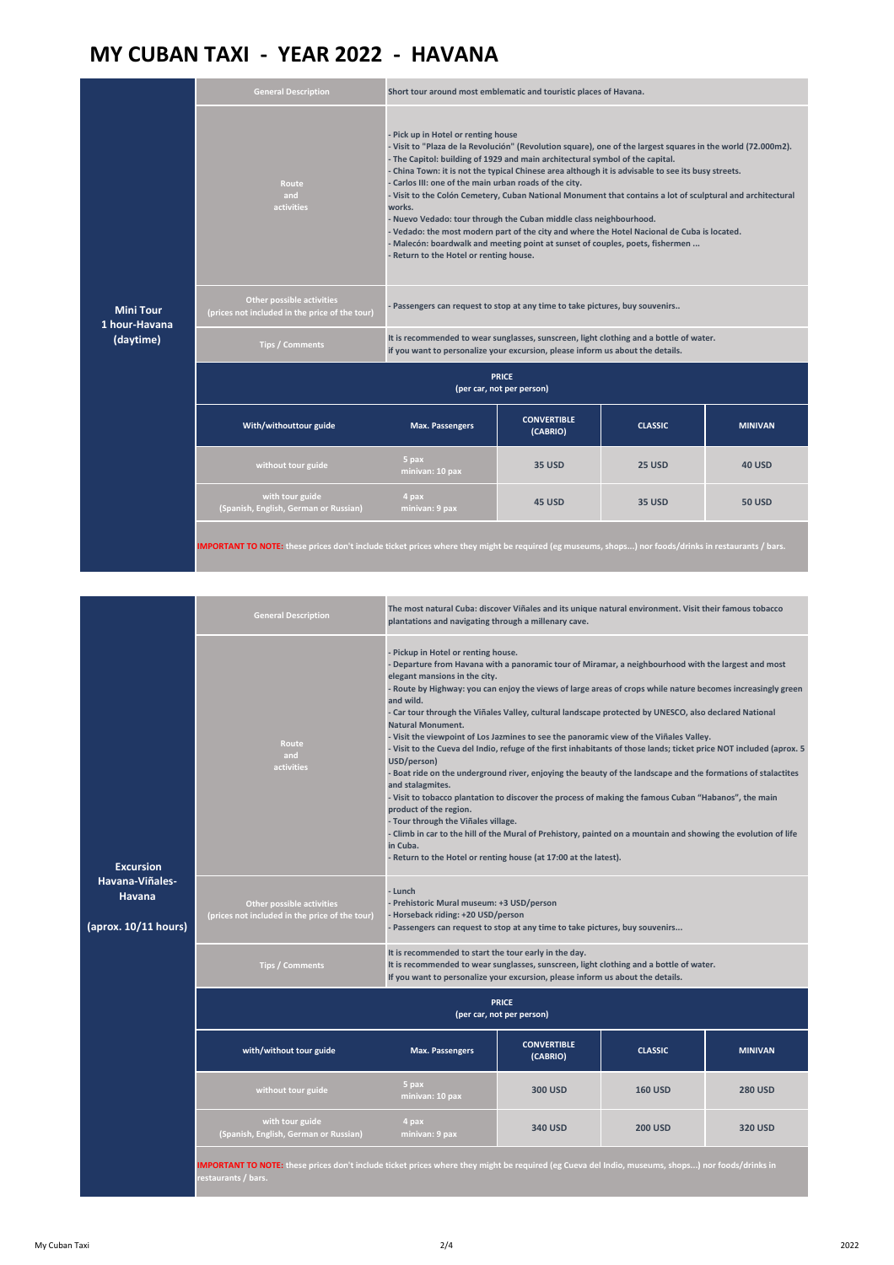| <b>Mini Tour</b><br>1 hour-Havana<br>(daytime) | <b>General Description</b>                                                                                                                           | Short tour around most emblematic and touristic places of Havana.                                                                                                                                                                                                                                                                                                                                                                                                                                                                                                                                                                                                                                                                                                                                                             |                                |                |                |  |
|------------------------------------------------|------------------------------------------------------------------------------------------------------------------------------------------------------|-------------------------------------------------------------------------------------------------------------------------------------------------------------------------------------------------------------------------------------------------------------------------------------------------------------------------------------------------------------------------------------------------------------------------------------------------------------------------------------------------------------------------------------------------------------------------------------------------------------------------------------------------------------------------------------------------------------------------------------------------------------------------------------------------------------------------------|--------------------------------|----------------|----------------|--|
|                                                | Route<br>and<br>activities                                                                                                                           | - Pick up in Hotel or renting house<br>- Visit to "Plaza de la Revolución" (Revolution square), one of the largest squares in the world (72.000m2).<br>- The Capitol: building of 1929 and main architectural symbol of the capital.<br>- China Town: it is not the typical Chinese area although it is advisable to see its busy streets.<br>- Carlos III: one of the main urban roads of the city.<br>- Visit to the Colón Cemetery, Cuban National Monument that contains a lot of sculptural and architectural<br>works.<br>- Nuevo Vedado: tour through the Cuban middle class neighbourhood.<br>- Vedado: the most modern part of the city and where the Hotel Nacional de Cuba is located.<br>- Malecón: boardwalk and meeting point at sunset of couples, poets, fishermen<br>- Return to the Hotel or renting house. |                                |                |                |  |
|                                                | <b>Other possible activities</b><br>(prices not included in the price of the tour)                                                                   | - Passengers can request to stop at any time to take pictures, buy souvenirs                                                                                                                                                                                                                                                                                                                                                                                                                                                                                                                                                                                                                                                                                                                                                  |                                |                |                |  |
|                                                | <b>Tips / Comments</b>                                                                                                                               | It is recommended to wear sunglasses, sunscreen, light clothing and a bottle of water.<br>if you want to personalize your excursion, please inform us about the details.                                                                                                                                                                                                                                                                                                                                                                                                                                                                                                                                                                                                                                                      |                                |                |                |  |
|                                                | <b>PRICE</b><br>(per car, not per person)                                                                                                            |                                                                                                                                                                                                                                                                                                                                                                                                                                                                                                                                                                                                                                                                                                                                                                                                                               |                                |                |                |  |
|                                                | With/withouttour guide                                                                                                                               | <b>Max. Passengers</b>                                                                                                                                                                                                                                                                                                                                                                                                                                                                                                                                                                                                                                                                                                                                                                                                        | <b>CONVERTIBLE</b><br>(CABRIO) | <b>CLASSIC</b> | <b>MINIVAN</b> |  |
|                                                | without tour guide                                                                                                                                   | 5 pax<br>minivan: 10 pax                                                                                                                                                                                                                                                                                                                                                                                                                                                                                                                                                                                                                                                                                                                                                                                                      | <b>35 USD</b>                  | 25 USD         | <b>40 USD</b>  |  |
|                                                | with tour guide<br>(Spanish, English, German or Russian)                                                                                             | 4 pax<br>minivan: 9 pax                                                                                                                                                                                                                                                                                                                                                                                                                                                                                                                                                                                                                                                                                                                                                                                                       | 45 USD                         | <b>35 USD</b>  | <b>50 USD</b>  |  |
|                                                | IMPORTANT TO NOTE: these prices don't include ticket prices where they might be required (eg museums, shops) nor foods/drinks in restaurants / bars. |                                                                                                                                                                                                                                                                                                                                                                                                                                                                                                                                                                                                                                                                                                                                                                                                                               |                                |                |                |  |

| <b>Excursion</b><br>Havana-Viñales-<br>Havana<br>(aprox. 10/11 hours) | <b>General Description</b>                                                                                                                                               | The most natural Cuba: discover Viñales and its unique natural environment. Visit their famous tobacco<br>plantations and navigating through a millenary cave.                                                                                                                                                                                                                                                                                                                                                                                                                                                                                                                                                                                                                                                                                                                                                                                                                                                                                                                                                                                                                              |                                |                |                |  |
|-----------------------------------------------------------------------|--------------------------------------------------------------------------------------------------------------------------------------------------------------------------|---------------------------------------------------------------------------------------------------------------------------------------------------------------------------------------------------------------------------------------------------------------------------------------------------------------------------------------------------------------------------------------------------------------------------------------------------------------------------------------------------------------------------------------------------------------------------------------------------------------------------------------------------------------------------------------------------------------------------------------------------------------------------------------------------------------------------------------------------------------------------------------------------------------------------------------------------------------------------------------------------------------------------------------------------------------------------------------------------------------------------------------------------------------------------------------------|--------------------------------|----------------|----------------|--|
|                                                                       | Route<br>and<br>activities                                                                                                                                               | - Pickup in Hotel or renting house.<br>- Departure from Havana with a panoramic tour of Miramar, a neighbourhood with the largest and most<br>elegant mansions in the city.<br>- Route by Highway: you can enjoy the views of large areas of crops while nature becomes increasingly green<br>and wild.<br>- Car tour through the Viñales Valley, cultural landscape protected by UNESCO, also declared National<br><b>Natural Monument.</b><br>- Visit the viewpoint of Los Jazmines to see the panoramic view of the Viñales Valley.<br>- Visit to the Cueva del Indio, refuge of the first inhabitants of those lands; ticket price NOT included (aprox. 5<br>USD/person)<br>- Boat ride on the underground river, enjoying the beauty of the landscape and the formations of stalactites<br>and stalagmites.<br>- Visit to tobacco plantation to discover the process of making the famous Cuban "Habanos", the main<br>product of the region.<br>- Tour through the Viñales village.<br>- Climb in car to the hill of the Mural of Prehistory, painted on a mountain and showing the evolution of life<br>in Cuba.<br>- Return to the Hotel or renting house (at 17:00 at the latest). |                                |                |                |  |
|                                                                       | Other possible activities<br>(prices not included in the price of the tour)                                                                                              | - Lunch<br>- Prehistoric Mural museum: +3 USD/person<br>- Horseback riding: +20 USD/person<br>- Passengers can request to stop at any time to take pictures, buy souvenirs                                                                                                                                                                                                                                                                                                                                                                                                                                                                                                                                                                                                                                                                                                                                                                                                                                                                                                                                                                                                                  |                                |                |                |  |
|                                                                       | <b>Tips / Comments</b>                                                                                                                                                   | It is recommended to start the tour early in the day.<br>It is recommended to wear sunglasses, sunscreen, light clothing and a bottle of water.<br>If you want to personalize your excursion, please inform us about the details.                                                                                                                                                                                                                                                                                                                                                                                                                                                                                                                                                                                                                                                                                                                                                                                                                                                                                                                                                           |                                |                |                |  |
|                                                                       | <b>PRICE</b><br>(per car, not per person)                                                                                                                                |                                                                                                                                                                                                                                                                                                                                                                                                                                                                                                                                                                                                                                                                                                                                                                                                                                                                                                                                                                                                                                                                                                                                                                                             |                                |                |                |  |
|                                                                       | with/without tour guide                                                                                                                                                  | <b>Max. Passengers</b>                                                                                                                                                                                                                                                                                                                                                                                                                                                                                                                                                                                                                                                                                                                                                                                                                                                                                                                                                                                                                                                                                                                                                                      | <b>CONVERTIBLE</b><br>(CABRIO) | <b>CLASSIC</b> | <b>MINIVAN</b> |  |
|                                                                       | without tour guide                                                                                                                                                       | 5 pax<br>minivan: 10 pax                                                                                                                                                                                                                                                                                                                                                                                                                                                                                                                                                                                                                                                                                                                                                                                                                                                                                                                                                                                                                                                                                                                                                                    | <b>300 USD</b>                 | <b>160 USD</b> | <b>280 USD</b> |  |
|                                                                       | with tour guide<br>(Spanish, English, German or Russian)                                                                                                                 | 4 pax<br>minivan: 9 pax                                                                                                                                                                                                                                                                                                                                                                                                                                                                                                                                                                                                                                                                                                                                                                                                                                                                                                                                                                                                                                                                                                                                                                     | 340 USD                        | <b>200 USD</b> | <b>320 USD</b> |  |
|                                                                       | IMPORTANT TO NOTE: these prices don't include ticket prices where they might be required (eg Cueva del Indio, museums, shops) nor foods/drinks in<br>restaurants / bars. |                                                                                                                                                                                                                                                                                                                                                                                                                                                                                                                                                                                                                                                                                                                                                                                                                                                                                                                                                                                                                                                                                                                                                                                             |                                |                |                |  |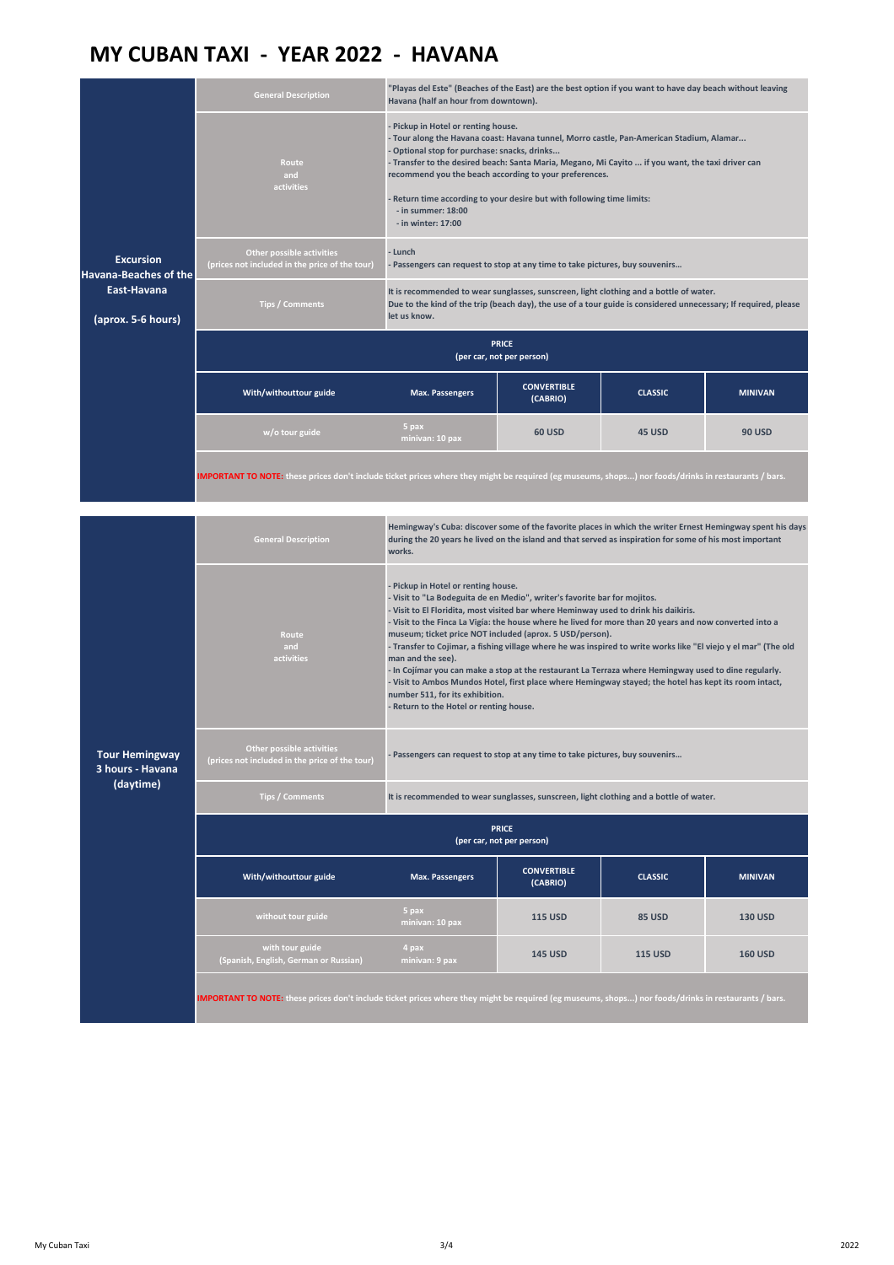|                                                        | <b>General Description</b>                                                                                                                           | "Playas del Este" (Beaches of the East) are the best option if you want to have day beach without leaving<br>Havana (half an hour from downtown).                                                                                                                                                                                                                                                                                                                                                                                                                                                                                                                                                                                                                                                                        |                                |                |                |  |  |
|--------------------------------------------------------|------------------------------------------------------------------------------------------------------------------------------------------------------|--------------------------------------------------------------------------------------------------------------------------------------------------------------------------------------------------------------------------------------------------------------------------------------------------------------------------------------------------------------------------------------------------------------------------------------------------------------------------------------------------------------------------------------------------------------------------------------------------------------------------------------------------------------------------------------------------------------------------------------------------------------------------------------------------------------------------|--------------------------------|----------------|----------------|--|--|
|                                                        | Route<br>and<br>activities                                                                                                                           | - Pickup in Hotel or renting house.<br>- Tour along the Havana coast: Havana tunnel, Morro castle, Pan-American Stadium, Alamar<br>- Optional stop for purchase: snacks, drinks<br>- Transfer to the desired beach: Santa Maria, Megano, Mi Cayito  if you want, the taxi driver can<br>recommend you the beach according to your preferences.<br>- Return time according to your desire but with following time limits:<br>- in summer: 18:00                                                                                                                                                                                                                                                                                                                                                                           |                                |                |                |  |  |
|                                                        | <b>Other possible activities</b>                                                                                                                     | - in winter: 17:00                                                                                                                                                                                                                                                                                                                                                                                                                                                                                                                                                                                                                                                                                                                                                                                                       |                                |                |                |  |  |
| <b>Excursion</b><br><b>Havana-Beaches of the</b>       | (prices not included in the price of the tour)                                                                                                       | - Lunch<br>- Passengers can request to stop at any time to take pictures, buy souvenirs                                                                                                                                                                                                                                                                                                                                                                                                                                                                                                                                                                                                                                                                                                                                  |                                |                |                |  |  |
| East-Havana<br>(aprox. 5-6 hours)                      | <b>Tips / Comments</b>                                                                                                                               | It is recommended to wear sunglasses, sunscreen, light clothing and a bottle of water.<br>Due to the kind of the trip (beach day), the use of a tour guide is considered unnecessary; If required, please<br>let us know.                                                                                                                                                                                                                                                                                                                                                                                                                                                                                                                                                                                                |                                |                |                |  |  |
|                                                        | <b>PRICE</b><br>(per car, not per person)                                                                                                            |                                                                                                                                                                                                                                                                                                                                                                                                                                                                                                                                                                                                                                                                                                                                                                                                                          |                                |                |                |  |  |
|                                                        | With/withouttour guide                                                                                                                               | <b>Max. Passengers</b>                                                                                                                                                                                                                                                                                                                                                                                                                                                                                                                                                                                                                                                                                                                                                                                                   | <b>CONVERTIBLE</b><br>(CABRIO) | <b>CLASSIC</b> | <b>MINIVAN</b> |  |  |
|                                                        | w/o tour guide                                                                                                                                       | 5 pax<br>minivan: 10 pax                                                                                                                                                                                                                                                                                                                                                                                                                                                                                                                                                                                                                                                                                                                                                                                                 | <b>60 USD</b>                  | <b>45 USD</b>  | <b>90 USD</b>  |  |  |
|                                                        | IMPORTANT TO NOTE: these prices don't include ticket prices where they might be required (eg museums, shops) nor foods/drinks in restaurants / bars. |                                                                                                                                                                                                                                                                                                                                                                                                                                                                                                                                                                                                                                                                                                                                                                                                                          |                                |                |                |  |  |
|                                                        | <b>General Description</b>                                                                                                                           | Hemingway's Cuba: discover some of the favorite places in which the writer Ernest Hemingway spent his days<br>during the 20 years he lived on the island and that served as inspiration for some of his most important<br>works.                                                                                                                                                                                                                                                                                                                                                                                                                                                                                                                                                                                         |                                |                |                |  |  |
|                                                        | Route<br>and<br>activities                                                                                                                           | - Pickup in Hotel or renting house.<br>- Visit to "La Bodeguita de en Medio", writer's favorite bar for mojitos.<br>- Visit to El Floridita, most visited bar where Heminway used to drink his daikiris.<br>- Visit to the Finca La Vigía: the house where he lived for more than 20 years and now converted into a<br>museum; ticket price NOT included (aprox. 5 USD/person).<br>- Transfer to Cojimar, a fishing village where he was inspired to write works like "El viejo y el mar" (The old<br>man and the see).<br>- In Cojímar you can make a stop at the restaurant La Terraza where Hemingway used to dine regularly.<br>- Visit to Ambos Mundos Hotel, first place where Hemingway stayed; the hotel has kept its room intact,<br>number 511, for its exhibition.<br>- Return to the Hotel or renting house. |                                |                |                |  |  |
| <b>Tour Hemingway</b><br>3 hours - Havana<br>(daytime) | Other possible activities<br>(prices not included in the price of the tour)                                                                          | - Passengers can request to stop at any time to take pictures, buy souvenirs                                                                                                                                                                                                                                                                                                                                                                                                                                                                                                                                                                                                                                                                                                                                             |                                |                |                |  |  |
|                                                        | <b>Tips / Comments</b><br>It is recommended to wear sunglasses, sunscreen, light clothing and a bottle of water.                                     |                                                                                                                                                                                                                                                                                                                                                                                                                                                                                                                                                                                                                                                                                                                                                                                                                          |                                |                |                |  |  |
|                                                        | <b>PRICE</b><br>(per car, not per person)                                                                                                            |                                                                                                                                                                                                                                                                                                                                                                                                                                                                                                                                                                                                                                                                                                                                                                                                                          |                                |                |                |  |  |
|                                                        | With/withouttour guide                                                                                                                               | <b>Max. Passengers</b>                                                                                                                                                                                                                                                                                                                                                                                                                                                                                                                                                                                                                                                                                                                                                                                                   | <b>CONVERTIBLE</b><br>(CABRIO) | <b>CLASSIC</b> | <b>MINIVAN</b> |  |  |
|                                                        | without tour guide                                                                                                                                   | 5 pax<br>minivan: 10 pax                                                                                                                                                                                                                                                                                                                                                                                                                                                                                                                                                                                                                                                                                                                                                                                                 | <b>115 USD</b>                 | <b>85 USD</b>  | <b>130 USD</b> |  |  |
|                                                        | with tour guide<br>(Spanish, English, German or Russian)                                                                                             | 4 pax<br>minivan: 9 pax                                                                                                                                                                                                                                                                                                                                                                                                                                                                                                                                                                                                                                                                                                                                                                                                  | <b>145 USD</b>                 | <b>115 USD</b> | <b>160 USD</b> |  |  |
|                                                        | IMPORTANT TO NOTE: these prices don't include ticket prices where they might be required (eg museums, shops) nor foods/drinks in restaurants / bars. |                                                                                                                                                                                                                                                                                                                                                                                                                                                                                                                                                                                                                                                                                                                                                                                                                          |                                |                |                |  |  |